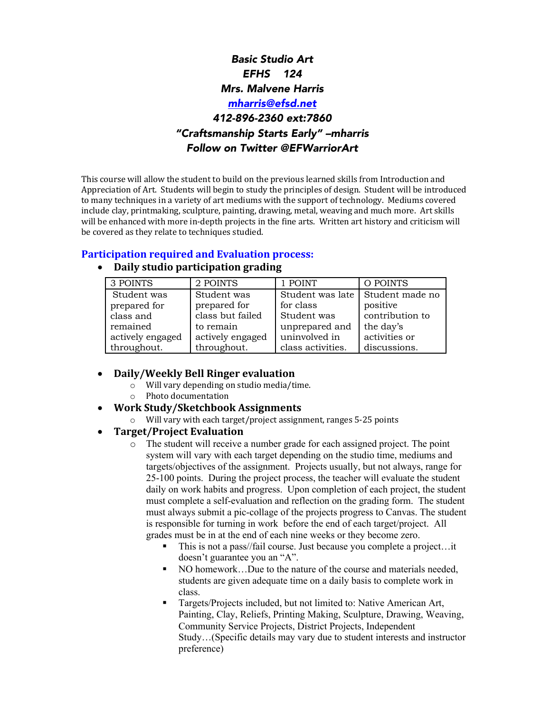# *Basic Studio Art EFHS 124 Mrs. Malvene Harris mharris@efsd.net 412-896-2360 ext:7860 "Craftsmanship Starts Early" –mharris Follow on Twitter @EFWarriorArt*

This course will allow the student to build on the previous learned skills from Introduction and Appreciation of Art. Students will begin to study the principles of design. Student will be introduced to many techniques in a variety of art mediums with the support of technology. Mediums covered include clay, printmaking, sculpture, painting, drawing, metal, weaving and much more. Art skills will be enhanced with more in-depth projects in the fine arts. Written art history and criticism will be covered as they relate to techniques studied.

### **Participation required and Evaluation process:**

| 3 POINTS         | 2 POINTS         | 1 POINT           | O POINTS        |
|------------------|------------------|-------------------|-----------------|
| Student was      | Student was      | Student was late  | Student made no |
| prepared for     | prepared for     | for class         | positive        |
| class and        | class but failed | Student was       | contribution to |
| remained         | to remain        | unprepared and    | the day's       |
| actively engaged | actively engaged | uninvolved in     | activities or   |
| throughout.      | throughout.      | class activities. | discussions.    |

## • **Daily studio participation grading**

- **Daily/Weekly Bell Ringer evaluation**
	- $\circ$  Will vary depending on studio media/time.
	- o Photo documentation
- **Work Study/Sketchbook Assignments**
	- o Will vary with each target/project assignment, ranges 5-25 points

#### • **Target/Project Evaluation**

- o The student will receive a number grade for each assigned project. The point system will vary with each target depending on the studio time, mediums and targets/objectives of the assignment. Projects usually, but not always, range for 25-100 points. During the project process, the teacher will evaluate the student daily on work habits and progress. Upon completion of each project, the student must complete a self-evaluation and reflection on the grading form. The student must always submit a pic-collage of the projects progress to Canvas. The student is responsible for turning in work before the end of each target/project. All grades must be in at the end of each nine weeks or they become zero.
	- This is not a pass//fail course. Just because you complete a project…it doesn't guarantee you an "A".
	- NO homework...Due to the nature of the course and materials needed, students are given adequate time on a daily basis to complete work in class.
	- Targets/Projects included, but not limited to: Native American Art, Painting, Clay, Reliefs, Printing Making, Sculpture, Drawing, Weaving, Community Service Projects, District Projects, Independent Study…(Specific details may vary due to student interests and instructor preference)